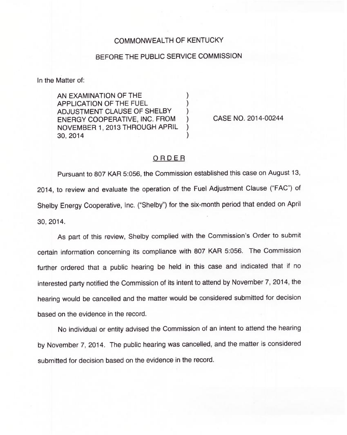## COMMONWEALTH OF KENTUCKY

## BEFORE THE PUBLIC SERVICE COMMISSION

In the Matter of:

AN EXAMINATION OF THE APPLICATION OF THE FUEL ) ADJUSTMENT CLAUSE OF SHELBY (a)<br>ENERGY COOPERATIVE. INC. FROM (b) ENERGY COOPERATIVE, INC. FROM )<br>NOVEMBER 1. 2013 THROUGH APRIL NOVEMBER 1, 2013 THROUGH APRIL ) 30, 2014 )

CASE NO. 2014-00244

## ORDER

Pursuant to 807 KAR 5:056, the Commission established this case on August 13, 2014, to review and evaluate the operation of the Fuel Adjustment Clause ("FAG") of Shelby Energy Cooperative, Inc. ("Shelby") for the six-month period that ended on Apri 30, 2014.

As part of this review, Shelby complied with the Commission's Order to submit certain information concerning its compliance with 807 KAR 5:056. The Commission further ordered that a public hearing be held in this case and indicated that if no interested party notified the Commission of its intent to attend by November 7, 2014, the hearing would be cancelled and the matter would be considered submitted for decision based on the evidence in the record.

No individual or entity advised the Commission of an intent to attend the hearing by November 7, 2014. The public hearing was cancelled, and the matter is considered submitted for decision based on the evidence in the record.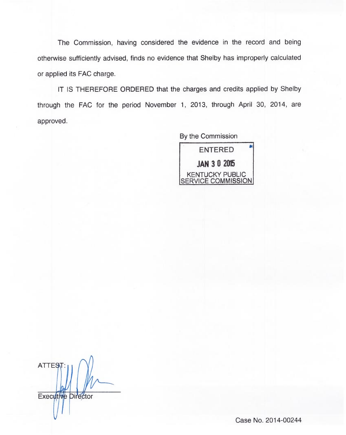The Commission, having considered the evidence in the record and being otherwise sufficiently advised, finds no evidence that Shelby has improperly calculated or applied its FAC charge.

IT IS THEREFORE ORDERED that the charges and credits applied by Shelby through the FAC for the period November 1, 2013, through April 30, 2014, are approved.

> By the Commission ENTERED **JAN 3 0 2015** KENTUCKY PUBLIC <u>SERVICE COMMISSION</u>

ATTEST: Executive Director